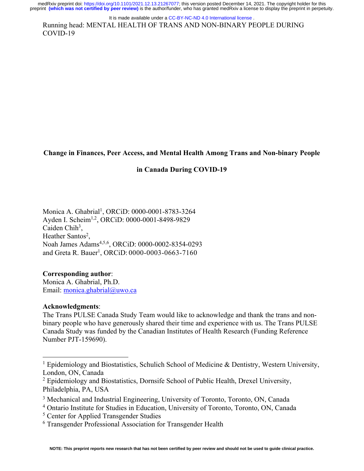Running head: MENTAL HEALTH OF TRANS AND NON-BINARY PEOPLE DURING COVID-19 It is made available under a CC-BY-NC-ND 4.0 International license.

**Change in Finances, Peer Access, and Mental Health Among Trans and Non-binary People** 

### **in Canada During COVID-19**

Monica A. Ghabrial<sup>1</sup>, ORCiD: 0000-0001-8783-3264 Ayden I. Scheim<sup>1,2</sup>, ORCiD: 0000-0001-8498-9829 Caiden Chi $h<sup>3</sup>$ , Heather Santos<sup>2</sup>, Noah James Adams<sup>4,5,6</sup>, ORCiD: 0000-0002-8354-0293 and Greta R. Bauer<sup>1</sup>, ORCiD: 0000-0003-0663-7160

## **Corresponding author**:

Monica A. Ghabrial, Ph.D. Email: monica.ghabrial@uwo.ca

### **Acknowledgments**:

The Trans PULSE Canada Study Team would like to acknowledge and thank the trans and nonbinary people who have generously shared their time and experience with us. The Trans PULSE Canada Study was funded by the Canadian Institutes of Health Research (Funding Reference Number PJT-159690).

<sup>&</sup>lt;sup>1</sup> Epidemiology and Biostatistics, Schulich School of Medicine & Dentistry, Western University, London, ON, Canada

<sup>&</sup>lt;sup>2</sup> Epidemiology and Biostatistics, Dornsife School of Public Health, Drexel University, Philadelphia, PA, USA

<sup>&</sup>lt;sup>3</sup> Mechanical and Industrial Engineering, University of Toronto, Toronto, ON, Canada

<sup>4</sup> Ontario Institute for Studies in Education, University of Toronto, Toronto, ON, Canada

<sup>5</sup> Center for Applied Transgender Studies

<sup>6</sup> Transgender Professional Association for Transgender Health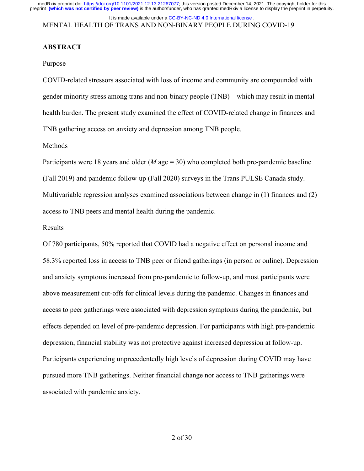### MENTAL HEALTH OF TRANS AND NON-BINARY PEOPLE DURING COVID-19 It is made available under a CC-BY-NC-ND 4.0 International license.

### **ABSTRACT**

#### Purpose

COVID-related stressors associated with loss of income and community are compounded with gender minority stress among trans and non-binary people (TNB) – which may result in mental health burden. The present study examined the effect of COVID-related change in finances and TNB gathering access on anxiety and depression among TNB people.

#### Methods

Participants were 18 years and older (*M* age = 30) who completed both pre-pandemic baseline (Fall 2019) and pandemic follow-up (Fall 2020) surveys in the Trans PULSE Canada study. Multivariable regression analyses examined associations between change in (1) finances and (2) access to TNB peers and mental health during the pandemic.

#### Results

Of 780 participants, 50% reported that COVID had a negative effect on personal income and 58.3% reported loss in access to TNB peer or friend gatherings (in person or online). Depression and anxiety symptoms increased from pre-pandemic to follow-up, and most participants were above measurement cut-offs for clinical levels during the pandemic. Changes in finances and access to peer gatherings were associated with depression symptoms during the pandemic, but effects depended on level of pre-pandemic depression. For participants with high pre-pandemic depression, financial stability was not protective against increased depression at follow-up. Participants experiencing unprecedentedly high levels of depression during COVID may have pursued more TNB gatherings. Neither financial change nor access to TNB gatherings were associated with pandemic anxiety.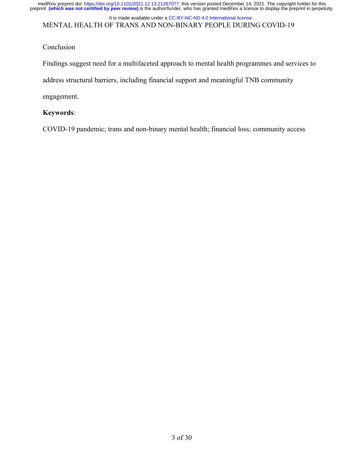medRxiv preprint doi: [https://doi.org/10.1101/2021.12.13.21267077;](https://doi.org/10.1101/2021.12.13.21267077) this version posted December 14, 2021. The copyright holder for this<br>preprint (which was not certified by peer review) is the author/funder, who has grante

MENTAL HEALTH OF TRANS AND NON-BINARY PEOPLE DURING COVID-19 It is made available under a [CC-BY-NC-ND 4.0 International license](http://creativecommons.org/licenses/by-nc-nd/4.0/) .

# Conclusion

Findings suggest need for a multifaceted approach to mental health programmes and services to

address structural barriers, including financial support and meaningful TNB community

engagement.

## **Keywords**:

COVID-19 pandemic; trans and non-binary mental health; financial loss; community access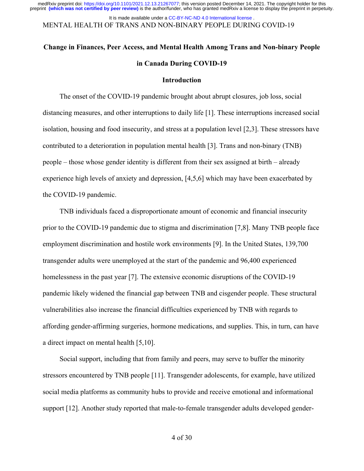MENTAL HEALTH OF TRANS AND NON-BINARY PEOPLE DURING COVID-19 It is made available under a CC-BY-NC-ND 4.0 International license.

# **Change in Finances, Peer Access, and Mental Health Among Trans and Non-binary People in Canada During COVID-19**

#### **Introduction**

The onset of the COVID-19 pandemic brought about abrupt closures, job loss, social distancing measures, and other interruptions to daily life [1]. These interruptions increased social isolation, housing and food insecurity, and stress at a population level [2,3]. These stressors have contributed to a deterioration in population mental health [3]. Trans and non-binary (TNB) people – those whose gender identity is different from their sex assigned at birth – already experience high levels of anxiety and depression, [4,5,6] which may have been exacerbated by the COVID-19 pandemic.

TNB individuals faced a disproportionate amount of economic and financial insecurity prior to the COVID-19 pandemic due to stigma and discrimination [7,8]. Many TNB people face employment discrimination and hostile work environments [9]. In the United States, 139,700 transgender adults were unemployed at the start of the pandemic and 96,400 experienced homelessness in the past year [7]. The extensive economic disruptions of the COVID-19 pandemic likely widened the financial gap between TNB and cisgender people. These structural vulnerabilities also increase the financial difficulties experienced by TNB with regards to affording gender-affirming surgeries, hormone medications, and supplies. This, in turn, can have a direct impact on mental health [5,10].

Social support, including that from family and peers, may serve to buffer the minority stressors encountered by TNB people [11]. Transgender adolescents, for example, have utilized social media platforms as community hubs to provide and receive emotional and informational support [12]. Another study reported that male-to-female transgender adults developed gender-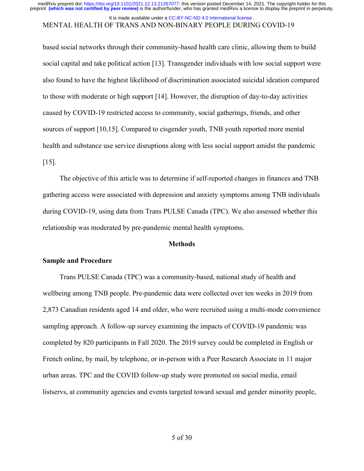#### MENTAL HEALTH OF TRANS AND NON-BINARY PEOPLE DURING COVID-19 It is made available under a CC-BY-NC-ND 4.0 International license.

based social networks through their community-based health care clinic, allowing them to build social capital and take political action [13]. Transgender individuals with low social support were also found to have the highest likelihood of discrimination associated suicidal ideation compared to those with moderate or high support [14]. However, the disruption of day-to-day activities caused by COVID-19 restricted access to community, social gatherings, friends, and other sources of support [10,15]. Compared to cisgender youth, TNB youth reported more mental health and substance use service disruptions along with less social support amidst the pandemic [15].

The objective of this article was to determine if self-reported changes in finances and TNB gathering access were associated with depression and anxiety symptoms among TNB individuals during COVID-19, using data from Trans PULSE Canada (TPC). We also assessed whether this relationship was moderated by pre-pandemic mental health symptoms.

#### **Methods**

### **Sample and Procedure**

Trans PULSE Canada (TPC) was a community-based, national study of health and wellbeing among TNB people. Pre-pandemic data were collected over ten weeks in 2019 from 2,873 Canadian residents aged 14 and older, who were recruited using a multi-mode convenience sampling approach. A follow-up survey examining the impacts of COVID-19 pandemic was completed by 820 participants in Fall 2020. The 2019 survey could be completed in English or French online, by mail, by telephone, or in-person with a Peer Research Associate in 11 major urban areas. TPC and the COVID follow-up study were promoted on social media, email listservs, at community agencies and events targeted toward sexual and gender minority people,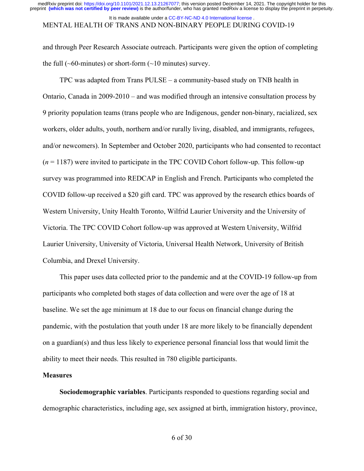#### MENTAL HEALTH OF TRANS AND NON-BINARY PEOPLE DURING COVID-19 It is made available under a CC-BY-NC-ND 4.0 International license.

and through Peer Research Associate outreach. Participants were given the option of completing the full ( $\sim 60$ -minutes) or short-form ( $\sim 10$  minutes) survey.

TPC was adapted from Trans PULSE – a community-based study on TNB health in Ontario, Canada in 2009-2010 – and was modified through an intensive consultation process by 9 priority population teams (trans people who are Indigenous, gender non-binary, racialized, sex workers, older adults, youth, northern and/or rurally living, disabled, and immigrants, refugees, and/or newcomers). In September and October 2020, participants who had consented to recontact (*n* = 1187) were invited to participate in the TPC COVID Cohort follow-up. This follow-up survey was programmed into REDCAP in English and French. Participants who completed the COVID follow-up received a \$20 gift card. TPC was approved by the research ethics boards of Western University, Unity Health Toronto, Wilfrid Laurier University and the University of Victoria. The TPC COVID Cohort follow-up was approved at Western University, Wilfrid Laurier University, University of Victoria, Universal Health Network, University of British Columbia, and Drexel University.

This paper uses data collected prior to the pandemic and at the COVID-19 follow-up from participants who completed both stages of data collection and were over the age of 18 at baseline. We set the age minimum at 18 due to our focus on financial change during the pandemic, with the postulation that youth under 18 are more likely to be financially dependent on a guardian(s) and thus less likely to experience personal financial loss that would limit the ability to meet their needs. This resulted in 780 eligible participants.

### **Measures**

**Sociodemographic variables**. Participants responded to questions regarding social and demographic characteristics, including age, sex assigned at birth, immigration history, province,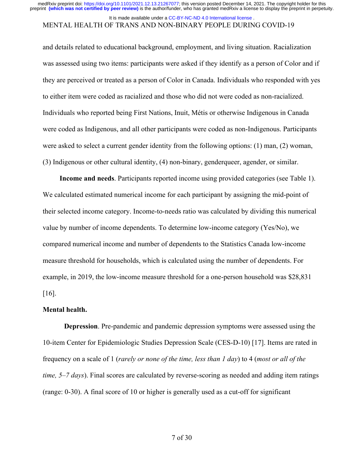### It is made available under a CC-BY-NC-ND 4.0 International license.

# MENTAL HEALTH OF TRANS AND NON-BINARY PEOPLE DURING COVID-19

and details related to educational background, employment, and living situation. Racialization was assessed using two items: participants were asked if they identify as a person of Color and if they are perceived or treated as a person of Color in Canada. Individuals who responded with yes to either item were coded as racialized and those who did not were coded as non-racialized. Individuals who reported being First Nations, Inuit, Métis or otherwise Indigenous in Canada were coded as Indigenous, and all other participants were coded as non-Indigenous. Participants were asked to select a current gender identity from the following options: (1) man, (2) woman, (3) Indigenous or other cultural identity, (4) non-binary, genderqueer, agender, or similar.

**Income and needs**. Participants reported income using provided categories (see Table 1). We calculated estimated numerical income for each participant by assigning the mid-point of their selected income category. Income-to-needs ratio was calculated by dividing this numerical value by number of income dependents. To determine low-income category (Yes/No), we compared numerical income and number of dependents to the Statistics Canada low-income measure threshold for households, which is calculated using the number of dependents. For example, in 2019, the low-income measure threshold for a one-person household was \$28,831 [16].

#### **Mental health.**

**Depression**. Pre-pandemic and pandemic depression symptoms were assessed using the 10-item Center for Epidemiologic Studies Depression Scale (CES-D-10) [17]. Items are rated in frequency on a scale of 1 (*rarely or none of the time, less than 1 day*) to 4 (*most or all of the time, 5–7 days*). Final scores are calculated by reverse-scoring as needed and adding item ratings (range: 0-30). A final score of 10 or higher is generally used as a cut-off for significant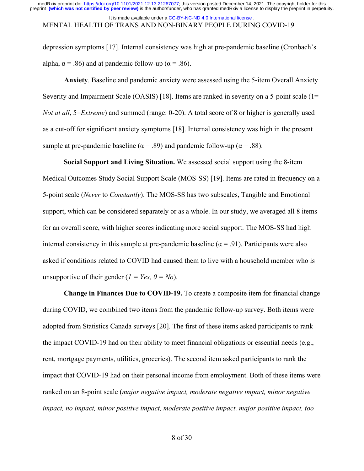#### MENTAL HEALTH OF TRANS AND NON-BINARY PEOPLE DURING COVID-19 It is made available under a CC-BY-NC-ND 4.0 International license.

depression symptoms [17]. Internal consistency was high at pre-pandemic baseline (Cronbach's alpha,  $\alpha$  = .86) and at pandemic follow-up ( $\alpha$  = .86).

**Anxiety**. Baseline and pandemic anxiety were assessed using the 5-item Overall Anxiety Severity and Impairment Scale (OASIS) [18]. Items are ranked in severity on a 5-point scale (1= *Not at all*, 5=*Extreme*) and summed (range: 0-20). A total score of 8 or higher is generally used as a cut-off for significant anxiety symptoms [18]. Internal consistency was high in the present sample at pre-pandemic baseline ( $\alpha$  = .89) and pandemic follow-up ( $\alpha$  = .88).

**Social Support and Living Situation.** We assessed social support using the 8-item Medical Outcomes Study Social Support Scale (MOS-SS) [19]. Items are rated in frequency on a 5-point scale (*Never* to *Constantly*). The MOS-SS has two subscales, Tangible and Emotional support, which can be considered separately or as a whole. In our study, we averaged all 8 items for an overall score, with higher scores indicating more social support. The MOS-SS had high internal consistency in this sample at pre-pandemic baseline ( $\alpha$  = .91). Participants were also asked if conditions related to COVID had caused them to live with a household member who is unsupportive of their gender  $(I = Yes, 0 = No)$ .

**Change in Finances Due to COVID-19.** To create a composite item for financial change during COVID, we combined two items from the pandemic follow-up survey. Both items were adopted from Statistics Canada surveys [20]. The first of these items asked participants to rank the impact COVID-19 had on their ability to meet financial obligations or essential needs (e.g., rent, mortgage payments, utilities, groceries). The second item asked participants to rank the impact that COVID-19 had on their personal income from employment. Both of these items were ranked on an 8-point scale (*major negative impact, moderate negative impact, minor negative impact, no impact, minor positive impact, moderate positive impact, major positive impact, too*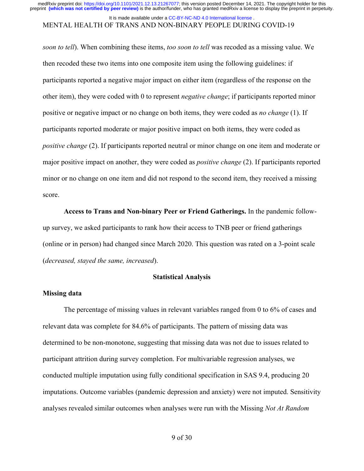#### MENTAL HEALTH OF TRANS AND NON-BINARY PEOPLE DURING COVID-19 It is made available under a CC-BY-NC-ND 4.0 International license.

*soon to tell*). When combining these items, *too soon to tell* was recoded as a missing value. We then recoded these two items into one composite item using the following guidelines: if participants reported a negative major impact on either item (regardless of the response on the other item), they were coded with 0 to represent *negative change*; if participants reported minor positive or negative impact or no change on both items, they were coded as *no change* (1). If participants reported moderate or major positive impact on both items, they were coded as *positive change* (2). If participants reported neutral or minor change on one item and moderate or major positive impact on another, they were coded as *positive change* (2). If participants reported minor or no change on one item and did not respond to the second item, they received a missing score.

**Access to Trans and Non-binary Peer or Friend Gatherings.** In the pandemic followup survey, we asked participants to rank how their access to TNB peer or friend gatherings (online or in person) had changed since March 2020. This question was rated on a 3-point scale (*decreased, stayed the same, increased*).

#### **Statistical Analysis**

#### **Missing data**

The percentage of missing values in relevant variables ranged from 0 to 6% of cases and relevant data was complete for 84.6% of participants. The pattern of missing data was determined to be non-monotone, suggesting that missing data was not due to issues related to participant attrition during survey completion. For multivariable regression analyses, we conducted multiple imputation using fully conditional specification in SAS 9.4, producing 20 imputations. Outcome variables (pandemic depression and anxiety) were not imputed. Sensitivity analyses revealed similar outcomes when analyses were run with the Missing *Not At Random*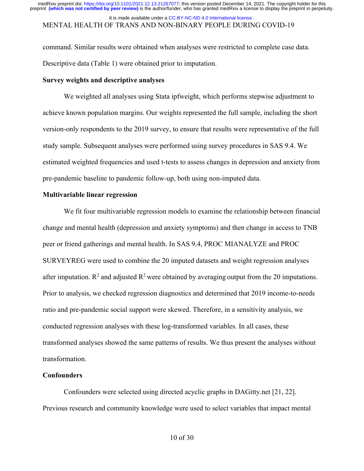### MENTAL HEALTH OF TRANS AND NON-BINARY PEOPLE DURING COVID-19 It is made available under a CC-BY-NC-ND 4.0 International license.

command. Similar results were obtained when analyses were restricted to complete case data. Descriptive data (Table 1) were obtained prior to imputation.

#### **Survey weights and descriptive analyses**

We weighted all analyses using Stata ipfweight, which performs stepwise adjustment to achieve known population margins. Our weights represented the full sample, including the short version-only respondents to the 2019 survey, to ensure that results were representative of the full study sample. Subsequent analyses were performed using survey procedures in SAS 9.4. We estimated weighted frequencies and used t-tests to assess changes in depression and anxiety from pre-pandemic baseline to pandemic follow-up, both using non-imputed data.

### **Multivariable linear regression**

We fit four multivariable regression models to examine the relationship between financial change and mental health (depression and anxiety symptoms) and then change in access to TNB peer or friend gatherings and mental health. In SAS 9.4, PROC MIANALYZE and PROC SURVEYREG were used to combine the 20 imputed datasets and weight regression analyses after imputation.  $\mathbb{R}^2$  and adjusted  $\mathbb{R}^2$  were obtained by averaging output from the 20 imputations. Prior to analysis, we checked regression diagnostics and determined that 2019 income-to-needs ratio and pre-pandemic social support were skewed. Therefore, in a sensitivity analysis, we conducted regression analyses with these log-transformed variables. In all cases, these transformed analyses showed the same patterns of results. We thus present the analyses without transformation.

### **Confounders**

Confounders were selected using directed acyclic graphs in DAGitty.net [21, 22]. Previous research and community knowledge were used to select variables that impact mental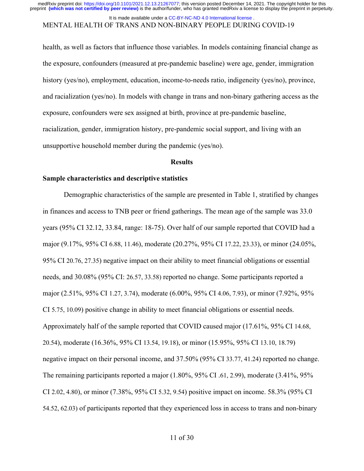#### MENTAL HEALTH OF TRANS AND NON-BINARY PEOPLE DURING COVID-19 It is made available under a CC-BY-NC-ND 4.0 International license.

health, as well as factors that influence those variables. In models containing financial change as the exposure, confounders (measured at pre-pandemic baseline) were age, gender, immigration history (yes/no), employment, education, income-to-needs ratio, indigeneity (yes/no), province, and racialization (yes/no). In models with change in trans and non-binary gathering access as the exposure, confounders were sex assigned at birth, province at pre-pandemic baseline, racialization, gender, immigration history, pre-pandemic social support, and living with an unsupportive household member during the pandemic (yes/no).

#### **Results**

#### **Sample characteristics and descriptive statistics**

Demographic characteristics of the sample are presented in Table 1, stratified by changes in finances and access to TNB peer or friend gatherings. The mean age of the sample was 33.0 years (95% CI 32.12, 33.84, range: 18-75). Over half of our sample reported that COVID had a major (9.17%, 95% CI 6.88, 11.46), moderate (20.27%, 95% CI 17.22, 23.33), or minor (24.05%, 95% CI 20.76, 27.35) negative impact on their ability to meet financial obligations or essential needs, and 30.08% (95% CI: 26.57, 33.58) reported no change. Some participants reported a major (2.51%, 95% CI 1.27, 3.74), moderate (6.00%, 95% CI 4.06, 7.93), or minor (7.92%, 95% CI 5.75, 10.09) positive change in ability to meet financial obligations or essential needs. Approximately half of the sample reported that COVID caused major (17.61%, 95% CI 14.68, 20.54), moderate (16.36%, 95% CI 13.54, 19.18), or minor (15.95%, 95% CI 13.10, 18.79) negative impact on their personal income, and 37.50% (95% CI 33.77, 41.24) reported no change. The remaining participants reported a major (1.80%, 95% CI .61, 2.99), moderate (3.41%, 95% CI 2.02, 4.80), or minor (7.38%, 95% CI 5.32, 9.54) positive impact on income. 58.3% (95% CI 54.52, 62.03) of participants reported that they experienced loss in access to trans and non-binary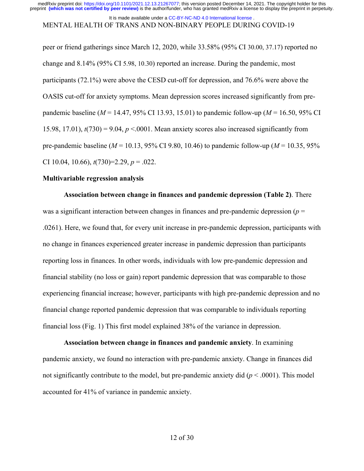## It is made available under a CC-BY-NC-ND 4.0 International license.

#### MENTAL HEALTH OF TRANS AND NON-BINARY PEOPLE DURING COVID-19

peer or friend gatherings since March 12, 2020, while 33.58% (95% CI 30.00, 37.17) reported no change and 8.14% (95% CI 5.98, 10.30) reported an increase. During the pandemic, most participants (72.1%) were above the CESD cut-off for depression, and 76.6% were above the OASIS cut-off for anxiety symptoms. Mean depression scores increased significantly from prepandemic baseline (*M* = 14.47, 95% CI 13.93, 15.01) to pandemic follow-up (*M* = 16.50, 95% CI 15.98, 17.01),  $t(730) = 9.04$ ,  $p < 0.001$ . Mean anxiety scores also increased significantly from pre-pandemic baseline (*M* = 10.13, 95% CI 9.80, 10.46) to pandemic follow-up (*M* = 10.35, 95% CI 10.04, 10.66), *t*(730)=2.29, *p* = .022.

#### **Multivariable regression analysis**

**Association between change in finances and pandemic depression (Table 2)**. There was a significant interaction between changes in finances and pre-pandemic depression  $(p =$ .0261). Here, we found that, for every unit increase in pre-pandemic depression, participants with no change in finances experienced greater increase in pandemic depression than participants reporting loss in finances. In other words, individuals with low pre-pandemic depression and financial stability (no loss or gain) report pandemic depression that was comparable to those experiencing financial increase; however, participants with high pre-pandemic depression and no financial change reported pandemic depression that was comparable to individuals reporting financial loss (Fig. 1) This first model explained 38% of the variance in depression.

**Association between change in finances and pandemic anxiety**. In examining pandemic anxiety, we found no interaction with pre-pandemic anxiety. Change in finances did not significantly contribute to the model, but pre-pandemic anxiety did (*p* < .0001). This model accounted for 41% of variance in pandemic anxiety.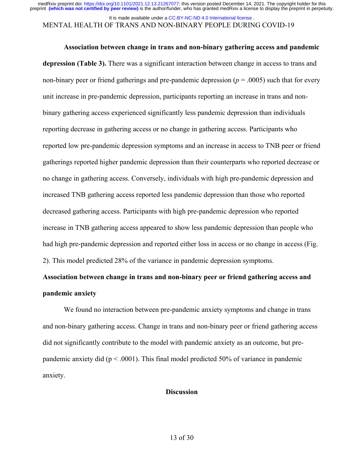It is made available under a CC-BY-NC-ND 4.0 International license.

# MENTAL HEALTH OF TRANS AND NON-BINARY PEOPLE DURING COVID-19

#### **Association between change in trans and non-binary gathering access and pandemic**

**depression (Table 3).** There was a significant interaction between change in access to trans and non-binary peer or friend gatherings and pre-pandemic depression ( $p = .0005$ ) such that for every unit increase in pre-pandemic depression, participants reporting an increase in trans and nonbinary gathering access experienced significantly less pandemic depression than individuals reporting decrease in gathering access or no change in gathering access. Participants who reported low pre-pandemic depression symptoms and an increase in access to TNB peer or friend gatherings reported higher pandemic depression than their counterparts who reported decrease or no change in gathering access. Conversely, individuals with high pre-pandemic depression and increased TNB gathering access reported less pandemic depression than those who reported decreased gathering access. Participants with high pre-pandemic depression who reported increase in TNB gathering access appeared to show less pandemic depression than people who had high pre-pandemic depression and reported either loss in access or no change in access (Fig. 2). This model predicted 28% of the variance in pandemic depression symptoms.

# **Association between change in trans and non-binary peer or friend gathering access and pandemic anxiety**

We found no interaction between pre-pandemic anxiety symptoms and change in trans and non-binary gathering access. Change in trans and non-binary peer or friend gathering access did not significantly contribute to the model with pandemic anxiety as an outcome, but prepandemic anxiety did ( $p < .0001$ ). This final model predicted 50% of variance in pandemic anxiety.

#### **Discussion**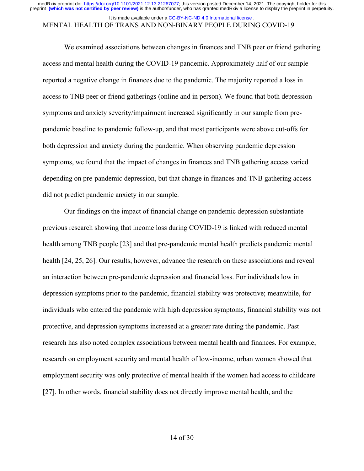### It is made available under a CC-BY-NC-ND 4.0 International license.

# MENTAL HEALTH OF TRANS AND NON-BINARY PEOPLE DURING COVID-19

We examined associations between changes in finances and TNB peer or friend gathering access and mental health during the COVID-19 pandemic. Approximately half of our sample reported a negative change in finances due to the pandemic. The majority reported a loss in access to TNB peer or friend gatherings (online and in person). We found that both depression symptoms and anxiety severity/impairment increased significantly in our sample from prepandemic baseline to pandemic follow-up, and that most participants were above cut-offs for both depression and anxiety during the pandemic. When observing pandemic depression symptoms, we found that the impact of changes in finances and TNB gathering access varied depending on pre-pandemic depression, but that change in finances and TNB gathering access did not predict pandemic anxiety in our sample.

Our findings on the impact of financial change on pandemic depression substantiate previous research showing that income loss during COVID-19 is linked with reduced mental health among TNB people [23] and that pre-pandemic mental health predicts pandemic mental health [24, 25, 26]. Our results, however, advance the research on these associations and reveal an interaction between pre-pandemic depression and financial loss. For individuals low in depression symptoms prior to the pandemic, financial stability was protective; meanwhile, for individuals who entered the pandemic with high depression symptoms, financial stability was not protective, and depression symptoms increased at a greater rate during the pandemic. Past research has also noted complex associations between mental health and finances. For example, research on employment security and mental health of low-income, urban women showed that employment security was only protective of mental health if the women had access to childcare [27]. In other words, financial stability does not directly improve mental health, and the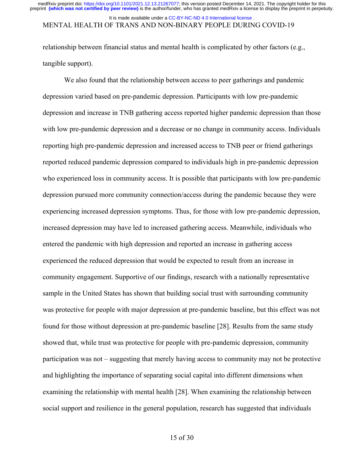### MENTAL HEALTH OF TRANS AND NON-BINARY PEOPLE DURING COVID-19 It is made available under a CC-BY-NC-ND 4.0 International license.

relationship between financial status and mental health is complicated by other factors (e.g., tangible support).

We also found that the relationship between access to peer gatherings and pandemic depression varied based on pre-pandemic depression. Participants with low pre-pandemic depression and increase in TNB gathering access reported higher pandemic depression than those with low pre-pandemic depression and a decrease or no change in community access. Individuals reporting high pre-pandemic depression and increased access to TNB peer or friend gatherings reported reduced pandemic depression compared to individuals high in pre-pandemic depression who experienced loss in community access. It is possible that participants with low pre-pandemic depression pursued more community connection/access during the pandemic because they were experiencing increased depression symptoms. Thus, for those with low pre-pandemic depression, increased depression may have led to increased gathering access. Meanwhile, individuals who entered the pandemic with high depression and reported an increase in gathering access experienced the reduced depression that would be expected to result from an increase in community engagement. Supportive of our findings, research with a nationally representative sample in the United States has shown that building social trust with surrounding community was protective for people with major depression at pre-pandemic baseline, but this effect was not found for those without depression at pre-pandemic baseline [28]. Results from the same study showed that, while trust was protective for people with pre-pandemic depression, community participation was not – suggesting that merely having access to community may not be protective and highlighting the importance of separating social capital into different dimensions when examining the relationship with mental health [28]. When examining the relationship between social support and resilience in the general population, research has suggested that individuals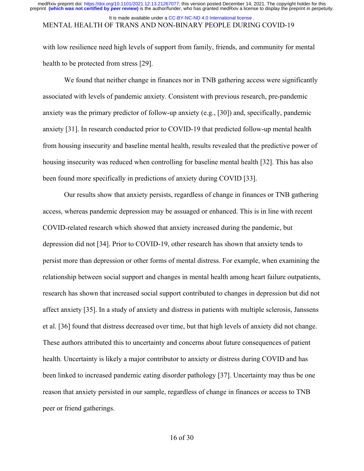#### MENTAL HEALTH OF TRANS AND NON-BINARY PEOPLE DURING COVID-19 It is made available under a CC-BY-NC-ND 4.0 International license.

with low resilience need high levels of support from family, friends, and community for mental health to be protected from stress [29].

We found that neither change in finances nor in TNB gathering access were significantly associated with levels of pandemic anxiety. Consistent with previous research, pre-pandemic anxiety was the primary predictor of follow-up anxiety (e.g., [30]) and, specifically, pandemic anxiety [31]. In research conducted prior to COVID-19 that predicted follow-up mental health from housing insecurity and baseline mental health, results revealed that the predictive power of housing insecurity was reduced when controlling for baseline mental health [32]. This has also been found more specifically in predictions of anxiety during COVID [33].

Our results show that anxiety persists, regardless of change in finances or TNB gathering access, whereas pandemic depression may be assuaged or enhanced. This is in line with recent COVID-related research which showed that anxiety increased during the pandemic, but depression did not [34]. Prior to COVID-19, other research has shown that anxiety tends to persist more than depression or other forms of mental distress. For example, when examining the relationship between social support and changes in mental health among heart failure outpatients, research has shown that increased social support contributed to changes in depression but did not affect anxiety [35]. In a study of anxiety and distress in patients with multiple sclerosis, Janssens et al. [36] found that distress decreased over time, but that high levels of anxiety did not change. These authors attributed this to uncertainty and concerns about future consequences of patient health. Uncertainty is likely a major contributor to anxiety or distress during COVID and has been linked to increased pandemic eating disorder pathology [37]. Uncertainty may thus be one reason that anxiety persisted in our sample, regardless of change in finances or access to TNB peer or friend gatherings.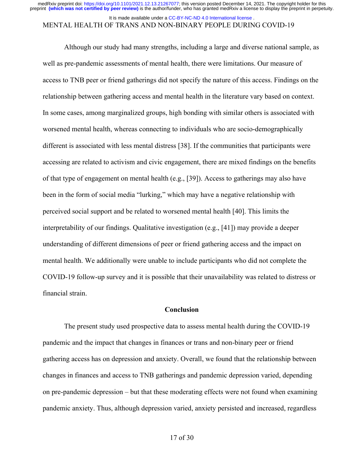#### It is made available under a CC-BY-NC-ND 4.0 International license.

### MENTAL HEALTH OF TRANS AND NON-BINARY PEOPLE DURING COVID-19

Although our study had many strengths, including a large and diverse national sample, as well as pre-pandemic assessments of mental health, there were limitations. Our measure of access to TNB peer or friend gatherings did not specify the nature of this access. Findings on the relationship between gathering access and mental health in the literature vary based on context. In some cases, among marginalized groups, high bonding with similar others is associated with worsened mental health, whereas connecting to individuals who are socio-demographically different is associated with less mental distress [38]. If the communities that participants were accessing are related to activism and civic engagement, there are mixed findings on the benefits of that type of engagement on mental health (e.g., [39]). Access to gatherings may also have been in the form of social media "lurking," which may have a negative relationship with perceived social support and be related to worsened mental health [40]. This limits the interpretability of our findings. Qualitative investigation (e.g., [41]) may provide a deeper understanding of different dimensions of peer or friend gathering access and the impact on mental health. We additionally were unable to include participants who did not complete the COVID-19 follow-up survey and it is possible that their unavailability was related to distress or financial strain.

#### **Conclusion**

The present study used prospective data to assess mental health during the COVID-19 pandemic and the impact that changes in finances or trans and non-binary peer or friend gathering access has on depression and anxiety. Overall, we found that the relationship between changes in finances and access to TNB gatherings and pandemic depression varied, depending on pre-pandemic depression – but that these moderating effects were not found when examining pandemic anxiety. Thus, although depression varied, anxiety persisted and increased, regardless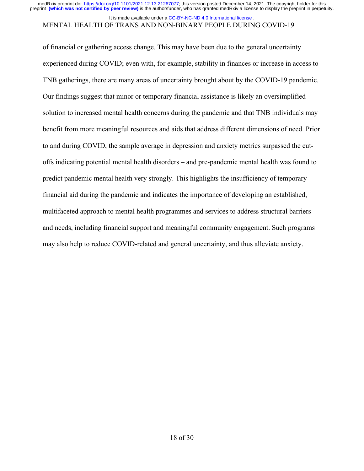medRxiv preprint doi: [https://doi.org/10.1101/2021.12.13.21267077;](https://doi.org/10.1101/2021.12.13.21267077) this version posted December 14, 2021. The copyright holder for this<br>preprint (which was not certified by peer review) is the author/funder, who has grante

#### It is made available under a CC-BY-NC-ND 4.0 International license.

# MENTAL HEALTH OF TRANS AND NON-BINARY PEOPLE DURING COVID-19

of financial or gathering access change. This may have been due to the general uncertainty experienced during COVID; even with, for example, stability in finances or increase in access to TNB gatherings, there are many areas of uncertainty brought about by the COVID-19 pandemic. Our findings suggest that minor or temporary financial assistance is likely an oversimplified solution to increased mental health concerns during the pandemic and that TNB individuals may benefit from more meaningful resources and aids that address different dimensions of need. Prior to and during COVID, the sample average in depression and anxiety metrics surpassed the cutoffs indicating potential mental health disorders – and pre-pandemic mental health was found to predict pandemic mental health very strongly. This highlights the insufficiency of temporary financial aid during the pandemic and indicates the importance of developing an established, multifaceted approach to mental health programmes and services to address structural barriers and needs, including financial support and meaningful community engagement. Such programs may also help to reduce COVID-related and general uncertainty, and thus alleviate anxiety.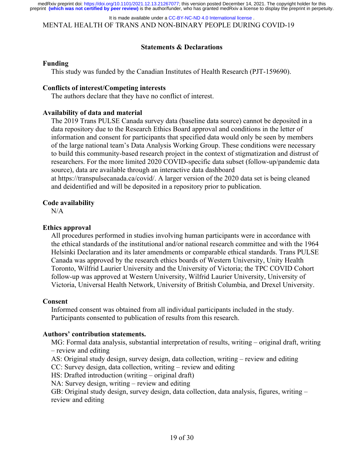MENTAL HEALTH OF TRANS AND NON-BINARY PEOPLE DURING COVID-19 It is made available under a CC-BY-NC-ND 4.0 International license.

### **Statements & Declarations**

### **Funding**

This study was funded by the Canadian Institutes of Health Research (PJT-159690).

### **Conflicts of interest/Competing interests**

The authors declare that they have no conflict of interest.

### **Availability of data and material**

The 2019 Trans PULSE Canada survey data (baseline data source) cannot be deposited in a data repository due to the Research Ethics Board approval and conditions in the letter of information and consent for participants that specified data would only be seen by members of the large national team's Data Analysis Working Group. These conditions were necessary to build this community-based research project in the context of stigmatization and distrust of researchers. For the more limited 2020 COVID-specific data subset (follow-up/pandemic data source), data are available through an interactive data dashboard at https://transpulsecanada.ca/covid/. A larger version of the 2020 data set is being cleaned and deidentified and will be deposited in a repository prior to publication.

### **Code availability**

N/A

### **Ethics approval**

All procedures performed in studies involving human participants were in accordance with the ethical standards of the institutional and/or national research committee and with the 1964 Helsinki Declaration and its later amendments or comparable ethical standards. Trans PULSE Canada was approved by the research ethics boards of Western University, Unity Health Toronto, Wilfrid Laurier University and the University of Victoria; the TPC COVID Cohort follow-up was approved at Western University, Wilfrid Laurier University, University of Victoria, Universal Health Network, University of British Columbia, and Drexel University.

### **Consent**

Informed consent was obtained from all individual participants included in the study. Participants consented to publication of results from this research.

### **Authors' contribution statements.**

MG: Formal data analysis, substantial interpretation of results, writing – original draft, writing – review and editing

AS: Original study design, survey design, data collection, writing – review and editing

CC: Survey design, data collection, writing – review and editing

HS: Drafted introduction (writing – original draft)

NA: Survey design, writing – review and editing

GB: Original study design, survey design, data collection, data analysis, figures, writing – review and editing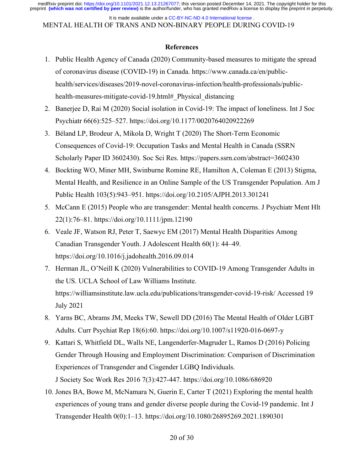MENTAL HEALTH OF TRANS AND NON-BINARY PEOPLE DURING COVID-19 It is made available under a CC-BY-NC-ND 4.0 International license.

### **References**

- 1. Public Health Agency of Canada (2020) Community-based measures to mitigate the spread of coronavirus disease (COVID-19) in Canada. https://www.canada.ca/en/publichealth/services/diseases/2019-novel-coronavirus-infection/health-professionals/publichealth-measures-mitigate-covid-19.html# Physical distancing
- 2. Banerjee D, Rai M (2020) Social isolation in Covid-19: The impact of loneliness. Int J Soc Psychiatr 66(6):525–527. https://doi.org/10.1177/0020764020922269
- 3. Béland LP, Brodeur A, Mikola D, Wright T (2020) The Short-Term Economic Consequences of Covid-19: Occupation Tasks and Mental Health in Canada (SSRN Scholarly Paper ID 3602430). Soc Sci Res. https://papers.ssrn.com/abstract=3602430
- 4. Bockting WO, Miner MH, Swinburne Romine RE, Hamilton A, Coleman E (2013) Stigma, Mental Health, and Resilience in an Online Sample of the US Transgender Population. Am J Public Health 103(5):943–951. https://doi.org/10.2105/AJPH.2013.301241
- 5. McCann E (2015) People who are transgender: Mental health concerns. J Psychiatr Ment Hlt 22(1):76–81. https://doi.org/10.1111/jpm.12190
- 6. Veale JF, Watson RJ, Peter T, Saewyc EM (2017) Mental Health Disparities Among Canadian Transgender Youth. J Adolescent Health 60(1): 44–49. https://doi.org/10.1016/j.jadohealth.2016.09.014
- 7. Herman JL, O'Neill K (2020) Vulnerabilities to COVID-19 Among Transgender Adults in the US. UCLA School of Law Williams Institute. https://williamsinstitute.law.ucla.edu/publications/transgender-covid-19-risk/ Accessed 19 July 2021
- 8. Yarns BC, Abrams JM, Meeks TW, Sewell DD (2016) The Mental Health of Older LGBT Adults. Curr Psychiat Rep 18(6):60. https://doi.org/10.1007/s11920-016-0697-y
- 9. Kattari S, Whitfield DL, Walls NE, Langenderfer-Magruder L, Ramos D (2016) Policing Gender Through Housing and Employment Discrimination: Comparison of Discrimination Experiences of Transgender and Cisgender LGBQ Individuals. J Society Soc Work Res 2016 7(3):427-447. https://doi.org/10.1086/686920
- 10. Jones BA, Bowe M, McNamara N, Guerin E, Carter T (2021) Exploring the mental health experiences of young trans and gender diverse people during the Covid-19 pandemic. Int J Transgender Health 0(0):1–13. https://doi.org/10.1080/26895269.2021.1890301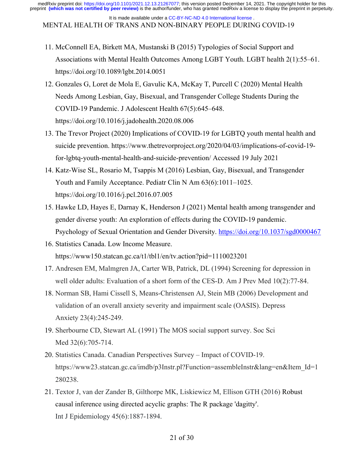MENTAL HEALTH OF TRANS AND NON-BINARY PEOPLE DURING COVID-19 It is made available under a CC-BY-NC-ND 4.0 International license.

11. McConnell EA, Birkett MA, Mustanski B (2015) Typologies of Social Support and Associations with Mental Health Outcomes Among LGBT Youth. LGBT health 2(1):55–61. https://doi.org/10.1089/lgbt.2014.0051

- 12. Gonzales G, Loret de Mola E, Gavulic KA, McKay T, Purcell C (2020) Mental Health Needs Among Lesbian, Gay, Bisexual, and Transgender College Students During the COVID-19 Pandemic. J Adolescent Health 67(5):645–648. https://doi.org/10.1016/j.jadohealth.2020.08.006
- 13. The Trevor Project (2020) Implications of COVID-19 for LGBTQ youth mental health and suicide prevention. https://www.thetrevorproject.org/2020/04/03/implications-of-covid-19 for-lgbtq-youth-mental-health-and-suicide-prevention/ Accessed 19 July 2021
- 14. Katz-Wise SL, Rosario M, Tsappis M (2016) Lesbian, Gay, Bisexual, and Transgender Youth and Family Acceptance. Pediatr Clin N Am 63(6):1011–1025. https://doi.org/10.1016/j.pcl.2016.07.005
- 15. Hawke LD, Hayes E, Darnay K, Henderson J (2021) Mental health among transgender and gender diverse youth: An exploration of effects during the COVID-19 pandemic. Psychology of Sexual Orientation and Gender Diversity. https://doi.org/10.1037/sgd0000467
- 16. Statistics Canada. Low Income Measure. https://www150.statcan.gc.ca/t1/tbl1/en/tv.action?pid=1110023201
- 17. Andresen EM, Malmgren JA, Carter WB, Patrick, DL (1994) Screening for depression in well older adults: Evaluation of a short form of the CES-D. Am J Prev Med 10(2):77-84.
- 18. Norman SB, Hami Cissell S, Means‐Christensen AJ, Stein MB (2006) Development and validation of an overall anxiety severity and impairment scale (OASIS). Depress Anxiety 23(4):245-249.
- 19. Sherbourne CD, Stewart AL (1991) The MOS social support survey. Soc Sci Med 32(6):705-714.
- 20. Statistics Canada. Canadian Perspectives Survey Impact of COVID-19. https://www23.statcan.gc.ca/imdb/p3Instr.pl?Function=assembleInstr&lang=en&Item\_Id=1 280238.
- 21. Textor J, van der Zander B, Gilthorpe MK, Liskiewicz M, Ellison GTH (2016) Robust causal inference using directed acyclic graphs: The R package 'dagitty'. Int J Epidemiology 45(6):1887-1894.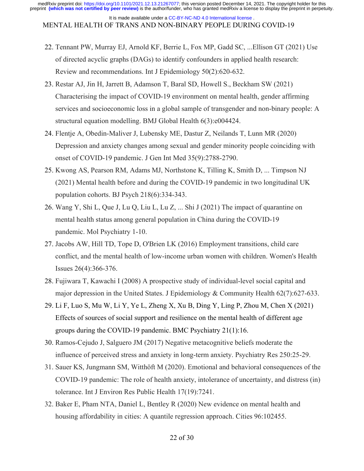It is made available under a CC-BY-NC-ND 4.0 International license.

MENTAL HEALTH OF TRANS AND NON-BINARY PEOPLE DURING COVID-19

- 22. Tennant PW, Murray EJ, Arnold KF, Berrie L, Fox MP, Gadd SC, ...Ellison GT (2021) Use of directed acyclic graphs (DAGs) to identify confounders in applied health research: Review and recommendations. Int J Epidemiology 50(2):620-632.
- 23. Restar AJ, Jin H, Jarrett B, Adamson T, Baral SD, Howell S., Beckham SW (2021) Characterising the impact of COVID-19 environment on mental health, gender affirming services and socioeconomic loss in a global sample of transgender and non-binary people: A structural equation modelling. BMJ Global Health 6(3):e004424.
- 24. Flentje A, Obedin-Maliver J, Lubensky ME, Dastur Z, Neilands T, Lunn MR (2020) Depression and anxiety changes among sexual and gender minority people coinciding with onset of COVID-19 pandemic. J Gen Int Med 35(9):2788-2790.
- 25. Kwong AS, Pearson RM, Adams MJ, Northstone K, Tilling K, Smith D, ... Timpson NJ (2021) Mental health before and during the COVID-19 pandemic in two longitudinal UK population cohorts. BJ Psych 218(6):334-343.
- 26. Wang Y, Shi L, Que J, Lu Q, Liu L, Lu Z, ... Shi J (2021) The impact of quarantine on mental health status among general population in China during the COVID-19 pandemic. Mol Psychiatry 1-10.
- 27. Jacobs AW, Hill TD, Tope D, O'Brien LK (2016) Employment transitions, child care conflict, and the mental health of low-income urban women with children. Women's Health Issues 26(4):366-376.
- 28. Fujiwara T, Kawachi I (2008) A prospective study of individual-level social capital and major depression in the United States. J Epidemiology & Community Health  $62(7)$ :627-633.
- 29. Li F, Luo S, Mu W, Li Y, Ye L, Zheng X, Xu B, Ding Y, Ling P, Zhou M, Chen X (2021) Effects of sources of social support and resilience on the mental health of different age groups during the COVID-19 pandemic. BMC Psychiatry 21(1):16.
- 30. Ramos-Cejudo J, Salguero JM (2017) Negative metacognitive beliefs moderate the influence of perceived stress and anxiety in long-term anxiety. Psychiatry Res 250:25-29.
- 31. Sauer KS, Jungmann SM, Witthöft M (2020). Emotional and behavioral consequences of the COVID-19 pandemic: The role of health anxiety, intolerance of uncertainty, and distress (in) tolerance. Int J Environ Res Public Health 17(19):7241.
- 32. Baker E, Pham NTA, Daniel L, Bentley R (2020) New evidence on mental health and housing affordability in cities: A quantile regression approach. Cities 96:102455.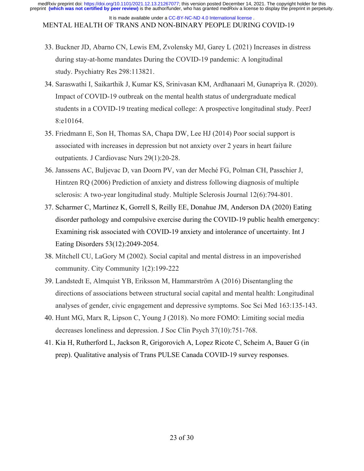MENTAL HEALTH OF TRANS AND NON-BINARY PEOPLE DURING COVID-19 It is made available under a CC-BY-NC-ND 4.0 International license.

- 33. Buckner JD, Abarno CN, Lewis EM, Zvolensky MJ, Garey L (2021) Increases in distress during stay-at-home mandates During the COVID-19 pandemic: A longitudinal study. Psychiatry Res 298:113821.
- 34. Saraswathi I, Saikarthik J, Kumar KS, Srinivasan KM, Ardhanaari M, Gunapriya R. (2020). Impact of COVID-19 outbreak on the mental health status of undergraduate medical students in a COVID-19 treating medical college: A prospective longitudinal study. PeerJ 8:e10164.
- 35. Friedmann E, Son H, Thomas SA, Chapa DW, Lee HJ (2014) Poor social support is associated with increases in depression but not anxiety over 2 years in heart failure outpatients. J Cardiovasc Nurs 29(1):20-28.
- 36. Janssens AC, Buljevac D, van Doorn PV, van der Meché FG, Polman CH, Passchier J, Hintzen RQ (2006) Prediction of anxiety and distress following diagnosis of multiple sclerosis: A two-year longitudinal study. Multiple Sclerosis Journal 12(6):794-801.
- 37. Scharmer C, Martinez K, Gorrell S, Reilly EE, Donahue JM, Anderson DA (2020) Eating disorder pathology and compulsive exercise during the COVID‐19 public health emergency: Examining risk associated with COVID‐19 anxiety and intolerance of uncertainty. Int J Eating Disorders 53(12):2049-2054.
- 38. Mitchell CU, LaGory M (2002). Social capital and mental distress in an impoverished community. City Community 1(2):199-222
- 39. Landstedt E, Almquist YB, Eriksson M, Hammarström A (2016) Disentangling the directions of associations between structural social capital and mental health: Longitudinal analyses of gender, civic engagement and depressive symptoms. Soc Sci Med 163:135-143.
- 40. Hunt MG, Marx R, Lipson C, Young J (2018). No more FOMO: Limiting social media decreases loneliness and depression. J Soc Clin Psych 37(10):751-768.
- 41. Kia H, Rutherford L, Jackson R, Grigorovich A, Lopez Ricote C, Scheim A, Bauer G (in prep). Qualitative analysis of Trans PULSE Canada COVID-19 survey responses.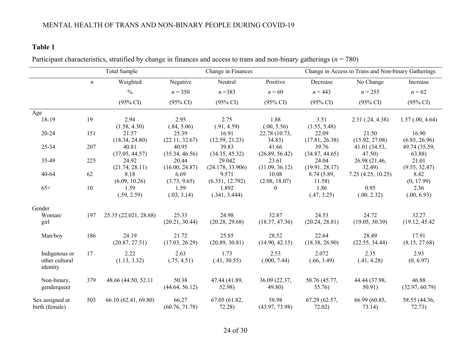# **Table 1**

Participant characteristics, stratified by change in finances and access to trans and non-binary gatherings (*n* = 780)

|                 |                  | <b>Total Sample</b>   |                     | Change in Finances  |                     | Change in Access to Trans and Non-binary Gatherings |                     |                     |
|-----------------|------------------|-----------------------|---------------------|---------------------|---------------------|-----------------------------------------------------|---------------------|---------------------|
|                 | $\boldsymbol{n}$ | Weighted              | Negative            | Neutral             | Positive            | Decrease                                            | No Change           | Increase            |
|                 |                  | $\frac{0}{0}$         | $n = 350$           | $n = 383$           | $n = 60$            | $n = 443$                                           | $n = 255$           | $n = 62$            |
|                 |                  | $(95\% \text{ CI})$   | $(95\% \text{ CI})$ | $(95\% \text{ CI})$ | $(95\% \text{ CI})$ | $(95\% \text{ CI})$                                 | $(95\% \text{ CI})$ | $(95\% \text{ CI})$ |
| Age             |                  |                       |                     |                     |                     |                                                     |                     |                     |
| 18-19           | 19               | 2.94<br>(1.58, 4.30)  | 2.95<br>(.84, 5.06) | 2.75<br>(.91, 4.59) | 1.88<br>(.00, 5.56) | 3.51<br>(1.55, 5.48)                                | 2.31(.24, 4.38)     | 1.57(.00, 4.64)     |
| 20-24           | 151              | 21.57                 | 25.39               | 16.91               | 22.78 (10.73,       | 22.09                                               | 21.50               | 16.90               |
|                 |                  | (18.34, 24.80)        | (22.11, 32.67)      | (12.59, 21.23)      | 34.83)              | (17.81, 26.38)                                      | (15.92, 27.08)      | (6.85, 26.96)       |
| 25-34           | 207              | 40.81                 | 40.95               | 39.83               | 41.66               | 39.76                                               | 41.01 (34.53,       | 49.74 (35.59,       |
|                 |                  | (37.05, 44.57)        | (35.34, 46.56)      | (34.35, 45.32)      | (26.89, 56.42)      | (34.87, 44.65)                                      | 47.50               | 63.88)              |
| 35-49           | 225              | 24.92                 | 20.44               | 29.042              | 23.61               | 24.04                                               | 26.98 (21.46,       | 21.01               |
|                 |                  | (21.74, 28.11)        | (16.00, 24.87)      | (24.178, 33.906)    | (11.09, 36.12)      | (19.91, 28.17)                                      | 32.49               | (9.55, 32.47)       |
| 40-64           | 62               | 8.18                  | 6.69                | 9.571               | 10.08               | 8.74(5.89,                                          | 7.25(4.25, 10.25)   | 8.42                |
|                 |                  | (6.09, 10.26)         | (3.73, 9.65)        | (6.351, 12.792)     | (2.08, 18.07)       | 11.58)                                              |                     | (0, 17.99)          |
| $65+$           | 10               | 1.59                  | 1.59                | 1.892               | $\theta$            | 1.86                                                | 0.95                | 2.36                |
|                 |                  | (.59, 2.59)           | (.03, 3.14)         | (.341, 3.444)       |                     | (.47, 3.25)                                         | (.00, 2.32)         | (.00, 6.93)         |
| Gender          |                  |                       |                     |                     |                     |                                                     |                     |                     |
| Woman/          | 197              | 25.35 (22.021, 28.68) | 25.33               | 24.98               | 32.87               | 24.53                                               | 24.72               | 32.27               |
| girl            |                  |                       | (20.21, 30.44)      | (20.28, 29.68)      | (18.37, 47.36)      | (20.24, 28.81)                                      | (19.05, 30.39)      | (19.12, 45.42)      |
| Man/boy         | 186              | 24.19                 | 21.72               | 25.85               | 28.52               | 22.64                                               | 28.49               | 17.91               |
|                 |                  | (20.87, 27.51)        | (17.03, 26.29)      | (20.89, 30.81)      | (14.90, 42.15)      | (18.38, 26.90)                                      | (22.55, 34.44)      | (8.15, 27.68)       |
| Indigenous or   | 17               | 2.22                  | 2.63                | 1.73                | 2.53                | 2.072                                               | 2.35                | 2.93                |
| other cultural  |                  | (1.13, 3.32)          | (.75, 4.51)         | (.41, 30.55)        | (.000, 7.44)        | (.66, 3.49)                                         | (.41, 4.28)         | (0, 6.97)           |
| identity        |                  |                       |                     |                     |                     |                                                     |                     |                     |
| Non-binary,     | 379              | 48.66 (44.50, 52.11)  | 50.38               | 47.44 (41.89,       | 36.09 (22.37,       | 50.76 (45.77,                                       | 44.44 (37.98,       | 46.88               |
| genderqueer     |                  |                       | (44.64, 56.12)      | 52.98)              | 49.80)              | 55.76)                                              | 50.91)              | (32.97, 60.79)      |
| Sex assigned at | 503              | 66.10 (62.41, 69.80)  | 66.27               | 67.05 (61.82,       | 58.98               | 67.29 (62.57,                                       | 66.99 (60.85,       | 58.55 (44.36,       |
| birth (female)  |                  |                       | (60.76, 71.78)      | 72.28               | (43.97, 73.98)      | 72.02)                                              | 73.14)              | 72.73)              |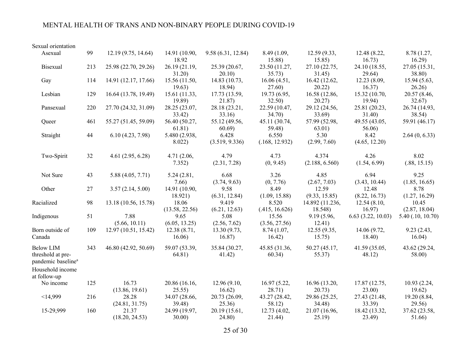# MENTAL HEALTH OF TRANS AND NON-BINARY PEOPLE DURING COVID-19

| Sexual orientation                                                                          |     |                         |                          |                         |                         |                            |                         |                         |
|---------------------------------------------------------------------------------------------|-----|-------------------------|--------------------------|-------------------------|-------------------------|----------------------------|-------------------------|-------------------------|
| Asexual                                                                                     | 99  | 12.19 (9.75, 14.64)     | 14.91 (10.90,<br>18.92   | 9.58 (6.31, 12.84)      | 8.49 (1.09,<br>15.88)   | 12.59 (9.33,<br>15.85)     | 12.48 (8.22,<br>16.73)  | 8.78 (1.27,<br>16.29    |
| Bisexual                                                                                    | 213 | 25.98 (22.70, 29.26)    | 26.19 (21.19,<br>31.20)  | 25.39 (20.67,<br>20.10) | 23.50 (11.27,<br>35.73) | 27.10 (22.75,<br>31.45)    | 24.10 (18.55,<br>29.64) | 27.05 (15.31,<br>38.80) |
| Gay                                                                                         | 114 | 14.91 (12.17, 17.66)    | 15.56 (11.50,<br>19.63)  | 14.83 (10.73,<br>18.94) | 16.06(4.51,<br>27.60)   | 16.42 (12.62,<br>20.22)    | 12.23 (8.09,<br>16.37)  | 15.94 (5.63,<br>26.26   |
| Lesbian                                                                                     | 129 | 16.64 (13.78, 19.49)    | 15.61 (11.33,<br>19.89)  | 17.73 (13.59,<br>21.87) | 19.73 (6.95,<br>32.50)  | 16.58 (12.86,<br>20.27)    | 15.32 (10.70,<br>19.94) | 20.57 (8.46,<br>32.67)  |
| Pansexual                                                                                   | 220 | 27.70 (24.32, 31.09)    | 28.25 (23.07,<br>33.42)  | 28.18 (23.21,<br>33.16  | 22.59 (10.47,<br>34.70) | 29.12 (24.56,<br>33.69)    | 25.81 (20.23,<br>31.40) | 26.74 (14.93,<br>38.54) |
| Queer                                                                                       | 461 | 55.27 (51.45, 59.09)    | 56.40 (50.27,<br>61.81)  | 55.12 (49.56,<br>60.69  | 45.11 (30.74,<br>59.48) | 57.99 (52.98,<br>63.01)    | 49.55 (43.05,<br>56.06) | 59.91 (46.17)           |
| Straight                                                                                    | 44  | 6.10(4.23, 7.98)        | 5.480 (2.938,<br>8.022)  | 6.428<br>(3.519, 9.336) | 6.550<br>(.168, 12.932) | 5.30<br>(2.99, 7.60)       | 8.42<br>(4.65, 12.20)   | 2.64(0, 6.33)           |
| Two-Spirit                                                                                  | 32  | 4.61(2.95, 6.28)        | 4.71 (2.06,<br>7.352)    | 4.79<br>(2.31, 7.28)    | 4.73<br>(0, 9.45)       | 4.374<br>(2.188, 6.560)    | 4.26<br>(1.54, 6.99)    | 8.02<br>(.88, 15.15)    |
| Not Sure                                                                                    | 43  | 5.88 (4.05, 7.71)       | 5.24 (2.81,<br>7.66      | 6.68<br>(3.74, 9.63)    | 3.26<br>(0, 7.76)       | 4.85<br>(2.67, 7.03)       | 6.94<br>(3.43, 10.44)   | 9.25<br>(1.85, 16.65)   |
| Other                                                                                       | 27  | 3.57(2.14, 5.00)        | 14.91 (10.90,<br>18.921) | 9.58<br>(6.31, 12.84)   | 8.49<br>(1.09, 15.88)   | 12.59<br>(9.33, 15.85)     | 12.48<br>(8.22, 16.73)  | 8.78<br>(1.27, 16.29)   |
| Racialized                                                                                  | 98  | 13.18 (10.56, 15.78)    | 18.06<br>(13.58, 22.56)  | 9.419<br>(6.21, 12.63)  | 8.520<br>(.415, 16.626) | 14.892 (11.236,<br>18.548) | 12.54 (8.10,<br>16.97)  | 10.45<br>(2.87, 18.04)  |
| Indigenous                                                                                  | 51  | 7.88<br>(5.66, 10.11)   | 9.65<br>(6.05, 13.25)    | 5.08<br>(2.56, 7.62)    | 15.56<br>(3.56, 27.56)  | 9.19 (5.96,<br>12.41)      | 6.63(3.22, 10.03)       | 5.40 (.10, 10.70)       |
| Born outside of<br>Canada                                                                   | 109 | 12.97 (10.51, 15.42)    | 12.38 (8.71,<br>16.06)   | 13.30 (9.73,<br>16.87)  | 8.74(1.07,<br>16.42)    | 12.55 (9.35,<br>15.75)     | 14.06 (9.72,<br>18.40)  | 9.23 (2.43,<br>16.04)   |
| <b>Below LIM</b><br>threshold at pre-<br>pandemic baseline <sup>a</sup><br>Household income | 343 | 46.80 (42.92, 50.69)    | 59.07 (53.39,<br>64.81)  | 35.84 (30.27,<br>41.42) | 45.85 (31.36,<br>60.34) | 50.27 (45.17,<br>55.37)    | 41.59 (35.05,<br>48.12) | 43.62 (29.24,<br>58.00) |
| at follow-up                                                                                |     |                         |                          |                         |                         |                            |                         |                         |
| No income                                                                                   | 125 | 16.73<br>(13.86, 19.61) | 20.86 (16.16,<br>25.55)  | 12.96 (9.10,<br>16.62)  | 16.97 (5.22,<br>28.71)  | 16.96 (13.20,<br>20.73)    | 17.87 (12.75,<br>23.00) | 10.93 (2.24,<br>19.62)  |
| $<$ 14,999                                                                                  | 216 | 28.28<br>(24.81, 31.75) | 34.07 (28.66,<br>39.48)  | 20.73 (26.09,<br>25.36  | 43.27 (28.42,<br>58.12) | 29.86 (25.25,<br>34.48)    | 27.43 (21.48,<br>33.39) | 19.20 (8.84,<br>29.56)  |
| 15-29,999                                                                                   | 160 | 21.37<br>(18.20, 24.53) | 24.99 (19.97,<br>30.00   | 20.19 (15.61,<br>24.80  | 12.73 (4.02,<br>21.44)  | 21.07 (16.96,<br>25.19)    | 18.42 (13.32,<br>23.49) | 37.62 (23.58,<br>51.66) |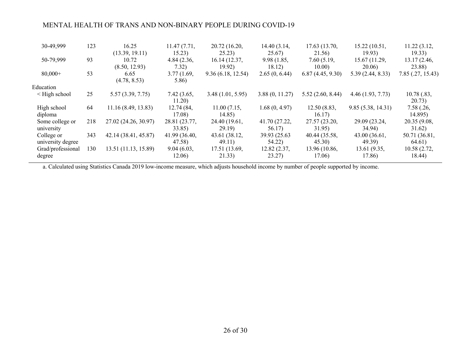# MENTAL HEALTH OF TRANS AND NON-BINARY PEOPLE DURING COVID-19

| 30-49,999                       | 123 | 16.25<br>(13.39, 19.11) | 11.47(7.71,<br>15.23)   | 20.72 (16.20,<br>25.23) | 14.40 (3.14,<br>25.67)  | 17.63 (13.70,<br>21.56) | 15.22(10.51,<br>19.93)  | 11.22 (3.12,<br>19.33)  |
|---------------------------------|-----|-------------------------|-------------------------|-------------------------|-------------------------|-------------------------|-------------------------|-------------------------|
| 50-79,999                       | 93  | 10.72<br>(8.50, 12.93)  | 4.84(2.36,<br>7.32)     | 16.14(12.37,<br>19.92)  | 9.98(1.85,<br>18.12)    | 7.60(5.19,<br>10.00)    | 15.67 (11.29,<br>20.06) | 13.17 (2.46,<br>23.88)  |
| $80,000+$                       | 53  | 6.65<br>(4.78, 8.53)    | 3.77(1.69,<br>5.86)     | 9.36(6.18, 12.54)       | 2.65(0, 6.44)           | 6.87(4.45, 9.30)        | 5.39(2.44, 8.33)        | 7.85(.27, 15.43)        |
| Education                       |     |                         |                         |                         |                         |                         |                         |                         |
| $\leq$ High school              | 25  | 5.57(3.39, 7.75)        | 7.42(3.65,<br>11.20)    | 3.48(1.01, 5.95)        | 3.88(0, 11.27)          | 5.52(2.60, 8.44)        | 4.46(1.93, 7.73)        | 10.78(.83,<br>20.73)    |
| High school<br>diploma          | 64  | 11.16(8.49, 13.83)      | 12.74 (84,<br>17.08)    | 11.00(7.15,<br>14.85)   | 1.68(0, 4.97)           | 12.50(8.83,<br>16.17)   | 9.85(5.38, 14.31)       | 7.58(.26,<br>14.895)    |
| Some college or<br>university   | 218 | 27.02 (24.26, 30.97)    | 28.81 (23.77,<br>33.85) | 24.40 (19.61,<br>29.19  | 41.70 (27.22,<br>56.17) | 27.57 (23.20,<br>31.95) | 29.09 (23.24,<br>34.94) | 20.35 (9.08,<br>31.62)  |
| College or<br>university degree | 343 | 42.14 (38.41, 45.87)    | 41.99 (36.40,<br>47.58  | 43.61 (38.12,<br>49.11) | 39.93 (25.63)<br>54.22) | 40.44 (35.58,<br>45.30) | 43.00 (36.61,<br>49.39) | 50.71 (36.81,<br>64.61) |
| Grad/professional<br>degree     | 130 | 13.51 (11.13, 15.89)    | 9.04(6.03,<br>12.06)    | 17.51 (13.69,<br>21.33) | 12.82 (2.37,<br>23.27)  | 13.96 (10.86,<br>17.06) | 13.61 (9.35,<br>17.86)  | 10.58 (2.72,<br>18.44)  |

a. Calculated using Statistics Canada 2019 low-income measure, which adjusts household income by number of people supported by income.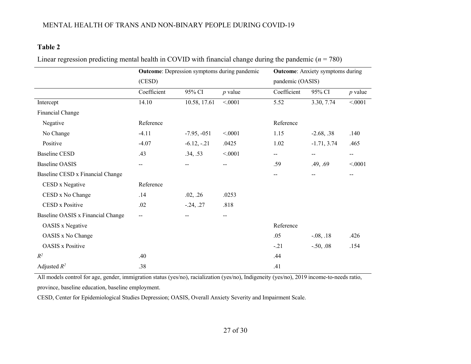# **Table 2**

|  | Linear regression predicting mental health in COVID with financial change during the pandemic ( $n = 780$ ) |  |
|--|-------------------------------------------------------------------------------------------------------------|--|
|  |                                                                                                             |  |

|                                   |             | <b>Outcome:</b> Depression symptoms during pandemic | <b>Outcome:</b> Anxiety symptoms during |                  |               |                          |
|-----------------------------------|-------------|-----------------------------------------------------|-----------------------------------------|------------------|---------------|--------------------------|
|                                   | (CESD)      |                                                     |                                         | pandemic (OASIS) |               |                          |
|                                   | Coefficient | 95% CI                                              | $p$ value                               | Coefficient      | 95% CI        | $p$ value                |
| Intercept                         | 14.10       | 10.58, 17.61                                        | < .0001                                 | 5.52             | 3.30, 7.74    | < .0001                  |
| Financial Change                  |             |                                                     |                                         |                  |               |                          |
| Negative                          | Reference   |                                                     |                                         | Reference        |               |                          |
| No Change                         | $-4.11$     | $-7.95, -051$                                       | < .0001                                 | 1.15             | $-2.68, .38$  | .140                     |
| Positive                          | $-4.07$     | $-6.12, -21$                                        | .0425                                   | 1.02             | $-1.71, 3.74$ | .465                     |
| <b>Baseline CESD</b>              | .43         | .34, .53                                            | < .0001                                 | $- -$            | $-\,-$        | $\overline{\phantom{a}}$ |
| <b>Baseline OASIS</b>             | $-$         |                                                     | $-$                                     | .59              | .49, .69      | < .0001                  |
| Baseline CESD x Financial Change  |             |                                                     |                                         | --               |               | --                       |
| CESD x Negative                   | Reference   |                                                     |                                         |                  |               |                          |
| CESD x No Change                  | .14         | .02, .26                                            | .0253                                   |                  |               |                          |
| CESD x Positive                   | .02         | $-.24, .27$                                         | .818                                    |                  |               |                          |
| Baseline OASIS x Financial Change | --          |                                                     | --                                      |                  |               |                          |
| <b>OASIS</b> x Negative           |             |                                                     |                                         | Reference        |               |                          |
| OASIS x No Change                 |             |                                                     |                                         | .05              | $-0.08, 0.18$ | .426                     |
| <b>OASIS</b> x Positive           |             |                                                     |                                         | $-.21$           | $-.50, .08$   | .154                     |
| $R^2$                             | .40         |                                                     |                                         | .44              |               |                          |
| Adjusted $R^2$                    | .38         |                                                     |                                         | .41              |               |                          |

All models control for age, gender, immigration status (yes/no), racialization (yes/no), Indigeneity (yes/no), 2019 income-to-needs ratio, province, baseline education, baseline employment.

CESD, Center for Epidemiological Studies Depression; OASIS, Overall Anxiety Severity and Impairment Scale.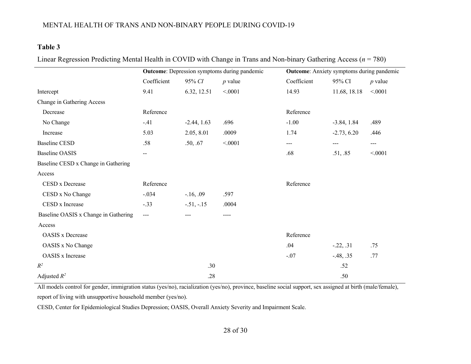# MENTAL HEALTH OF TRANS AND NON-BINARY PEOPLE DURING COVID-19

# **Table 3**

| Linear Regression Predicting Mental Health in COVID with Change in Trans and Non-binary Gathering Access ( $n = 780$ ) |  |
|------------------------------------------------------------------------------------------------------------------------|--|
|                                                                                                                        |  |

|                                      | <b>Outcome:</b> Depression symptoms during pandemic |               |           | <b>Outcome:</b> Anxiety symptoms during pandemic |               |           |
|--------------------------------------|-----------------------------------------------------|---------------|-----------|--------------------------------------------------|---------------|-----------|
|                                      | Coefficient                                         | 95% CI        | $p$ value | Coefficient                                      | 95% CI        | $p$ value |
| Intercept                            | 9.41                                                | 6.32, 12.51   | < 0001    | 14.93                                            | 11.68, 18.18  | < 0001    |
| Change in Gathering Access           |                                                     |               |           |                                                  |               |           |
| Decrease                             | Reference                                           |               |           | Reference                                        |               |           |
| No Change                            | $-.41$                                              | $-2.44, 1.63$ | .696      | $-1.00$                                          | $-3.84, 1.84$ | .489      |
| Increase                             | 5.03                                                | 2.05, 8.01    | .0009     | 1.74                                             | $-2.73, 6.20$ | .446      |
| <b>Baseline CESD</b>                 | .58                                                 | .50, .67      | < .0001   | $---$                                            | $---$         | $---$     |
| <b>Baseline OASIS</b>                | $-\,-$                                              |               |           | .68                                              | .51, .85      | < 0001    |
| Baseline CESD x Change in Gathering  |                                                     |               |           |                                                  |               |           |
| Access                               |                                                     |               |           |                                                  |               |           |
| CESD x Decrease                      | Reference                                           |               |           | Reference                                        |               |           |
| CESD x No Change                     | $-.034$                                             | $-16, .09$    | .597      |                                                  |               |           |
| CESD x Increase                      | $-.33$                                              | $-.51, -.15$  | .0004     |                                                  |               |           |
| Baseline OASIS x Change in Gathering | $---$                                               |               | $---$     |                                                  |               |           |
| Access                               |                                                     |               |           |                                                  |               |           |
| <b>OASIS</b> x Decrease              |                                                     |               |           | Reference                                        |               |           |
| OASIS x No Change                    |                                                     |               |           | .04                                              | $-.22, .31$   | .75       |
| OASIS x Increase                     |                                                     |               |           | $-.07$                                           | $-48, .35$    | .77       |
| $R^2$                                |                                                     | .30           |           |                                                  | .52           |           |
| Adjusted $R^2$                       |                                                     | .28           |           |                                                  | .50           |           |

All models control for gender, immigration status (yes/no), racialization (yes/no), province, baseline social support, sex assigned at birth (male/female), report of living with unsupportive household member (yes/no).

CESD, Center for Epidemiological Studies Depression; OASIS, Overall Anxiety Severity and Impairment Scale.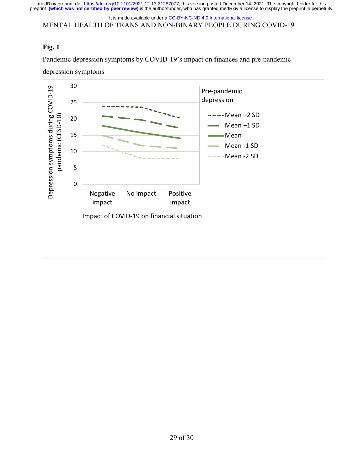medRxiv preprint doi: [https://doi.org/10.1101/2021.12.13.21267077;](https://doi.org/10.1101/2021.12.13.21267077) this version posted December 14, 2021. The copyright holder for this<br>preprint (which was not certified by peer review) is the author/funder, who has grante

MENTAL HEALTH OF TRANS AND NON-BINARY PEOPLE DURING COVID-19 It is made available under a [CC-BY-NC-ND 4.0 International license](http://creativecommons.org/licenses/by-nc-nd/4.0/) .

# **Fig. 1**

Pandemic depression symptoms by COVID-19's impact on finances and pre-pandemic

depression symptoms